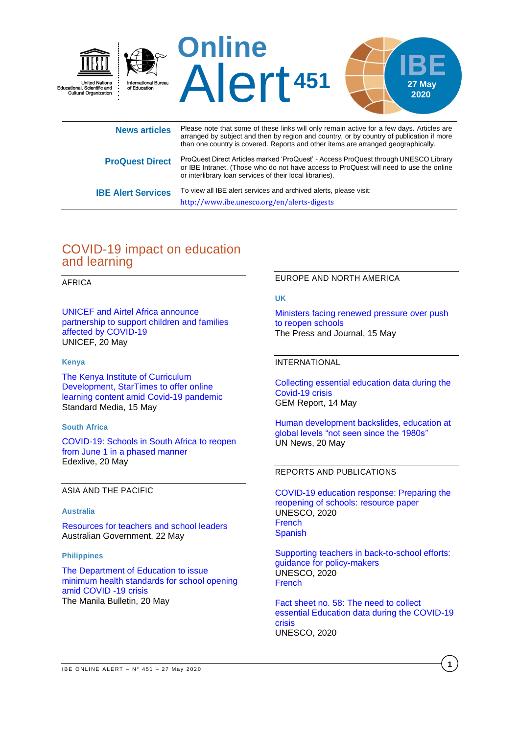

|                           | arranged by subject and then by region and country, or by country of publication if more<br>than one country is covered. Reports and other items are arranged geographically.                                                             |
|---------------------------|-------------------------------------------------------------------------------------------------------------------------------------------------------------------------------------------------------------------------------------------|
| <b>ProQuest Direct</b>    | ProQuest Direct Articles marked 'ProQuest' - Access ProQuest through UNESCO Library<br>or IBE Intranet. (Those who do not have access to ProQuest will need to use the online<br>or interlibrary loan services of their local libraries). |
| <b>IBE Alert Services</b> | To view all IBE alert services and archived alerts, please visit:                                                                                                                                                                         |

<http://www.ibe.unesco.org/en/alerts-digests>

# COVID-19 impact on education and learning

### AFRICA

[UNICEF and Airtel Africa announce](https://www.unicef.org/press-releases/unicef-and-airtel-africa-announce-partnership-support-children-and-families-affected)  [partnership to support children and families](https://www.unicef.org/press-releases/unicef-and-airtel-africa-announce-partnership-support-children-and-families-affected)  [affected by COVID-19](https://www.unicef.org/press-releases/unicef-and-airtel-africa-announce-partnership-support-children-and-families-affected) UNICEF, 20 May

#### **Kenya**

[The Kenya Institute of Curriculum](https://www.standardmedia.co.ke/article/2001371427/kicd-startimes-to-offer-online-learning-content-amid-covid-19)  [Development, StarTimes to offer online](https://www.standardmedia.co.ke/article/2001371427/kicd-startimes-to-offer-online-learning-content-amid-covid-19)  [learning content amid Covid-19 pandemic](https://www.standardmedia.co.ke/article/2001371427/kicd-startimes-to-offer-online-learning-content-amid-covid-19) Standard Media, 15 May

#### **South Africa**

[COVID-19: Schools in South Africa to reopen](https://www.edexlive.com/news/2020/may/20/covid-19-schools-in-south-africa-to-reopen-from-june-1-in-a-phased-manner-12138.html)  [from June 1 in a phased manner](https://www.edexlive.com/news/2020/may/20/covid-19-schools-in-south-africa-to-reopen-from-june-1-in-a-phased-manner-12138.html) Edexlive, 20 May

ASIA AND THE PACIFIC

#### **Australia**

[Resources for teachers and school leaders](https://dese-interim.govcms.gov.au/resources-teachers-and-school-leaders) Australian Government, 22 May

#### **Philippines**

[The Department of Education to issue](https://news.mb.com.ph/2020/05/20/deped-to-issue-minimum-health-standards-for-school-opening-amid-covid-19-crisis/)  [minimum health standards for school opening](https://news.mb.com.ph/2020/05/20/deped-to-issue-minimum-health-standards-for-school-opening-amid-covid-19-crisis/)  [amid COVID -19 crisis](https://news.mb.com.ph/2020/05/20/deped-to-issue-minimum-health-standards-for-school-opening-amid-covid-19-crisis/) The Manila Bulletin, 20 May

#### EUROPE AND NORTH AMERICA

#### **UK**

[Ministers facing renewed pressure over push](https://www.pressandjournal.co.uk/news/politics/uk-politics/2203944/ministers-facing-renewed-pressure-over-lockdown-easing/)  [to reopen schools](https://www.pressandjournal.co.uk/news/politics/uk-politics/2203944/ministers-facing-renewed-pressure-over-lockdown-easing/) The Press and Journal, 15 May

#### INTERNATIONAL

[Collecting essential education data during the](https://gemreportunesco.wordpress.com/2020/05/14/collecting-essential-education-data-during-the-covid-19-crisis/)  [Covid-19 crisis](https://gemreportunesco.wordpress.com/2020/05/14/collecting-essential-education-data-during-the-covid-19-crisis/) GEM Report, 14 May

[Human development backslides, education at](https://news.un.org/en/story/2020/05/1064542)  [global levels "not seen since the 1980s"](https://news.un.org/en/story/2020/05/1064542) UN News, 20 May

## REPORTS AND PUBLICATIONS

[COVID-19 education response: Preparing the](https://unesdoc.unesco.org/ark:/48223/pf0000373401)  [reopening of schools: resource paper](https://unesdoc.unesco.org/ark:/48223/pf0000373401) UNESCO, 2020 [French](https://unesdoc.unesco.org/ark:/48223/pf0000373401_fre) **[Spanish](https://unesdoc.unesco.org/ark:/48223/pf0000373401_spa)** 

[Supporting teachers in back-to-school efforts:](https://unesdoc.unesco.org/ark:/48223/pf0000373479?posInSet=59&queryId=N-9c5b21c8-921e-4fdb-9bd6-79826ba42c55)  [guidance for policy-makers](https://unesdoc.unesco.org/ark:/48223/pf0000373479?posInSet=59&queryId=N-9c5b21c8-921e-4fdb-9bd6-79826ba42c55) UNESCO, 2020 [French](https://unesdoc.unesco.org/ark:/48223/pf0000373479_fre)

Fact sheet no. 58: [The need to collect](https://unesdoc.unesco.org/ark:/48223/pf0000373507?posInSet=29&queryId=N-9c5b21c8-921e-4fdb-9bd6-79826ba42c55)  [essential Education data during the COVID-19](https://unesdoc.unesco.org/ark:/48223/pf0000373507?posInSet=29&queryId=N-9c5b21c8-921e-4fdb-9bd6-79826ba42c55)  [crisis](https://unesdoc.unesco.org/ark:/48223/pf0000373507?posInSet=29&queryId=N-9c5b21c8-921e-4fdb-9bd6-79826ba42c55) UNESCO, 2020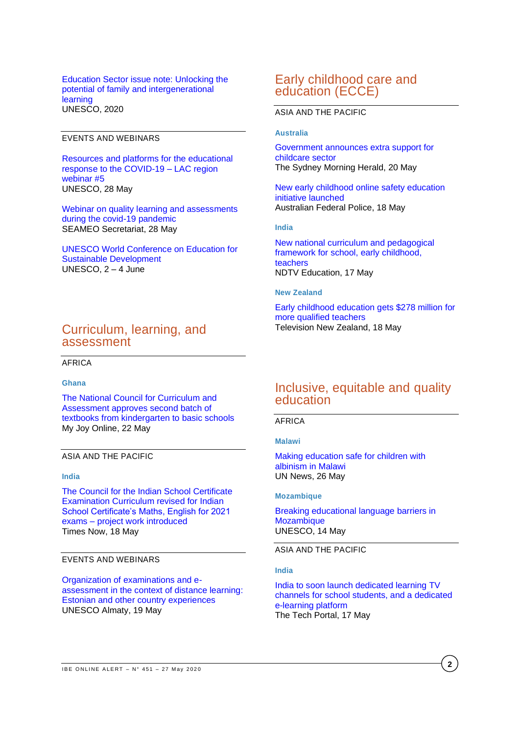Education Sector issue note: [Unlocking the](https://unesdoc.unesco.org/ark:/48223/pf0000373512?posInSet=17&queryId=N-9c5b21c8-921e-4fdb-9bd6-79826ba42c55)  [potential of family and intergenerational](https://unesdoc.unesco.org/ark:/48223/pf0000373512?posInSet=17&queryId=N-9c5b21c8-921e-4fdb-9bd6-79826ba42c55)  [learning](https://unesdoc.unesco.org/ark:/48223/pf0000373512?posInSet=17&queryId=N-9c5b21c8-921e-4fdb-9bd6-79826ba42c55) UNESCO, 2020

### EVENTS AND WEBINARS

[Resources and platforms for the educational](https://en.unesco.org/events/resources-and-platforms-educational-response-covid-19-lac-region-webinar-5)  [response to the COVID-19 –](https://en.unesco.org/events/resources-and-platforms-educational-response-covid-19-lac-region-webinar-5) LAC region [webinar #5](https://en.unesco.org/events/resources-and-platforms-educational-response-covid-19-lac-region-webinar-5) UNESCO, 28 May

[Webinar on quality learning and assessments](https://en.unesco.org/gem-report/events/2020/webinar-quality-learning-and-assessments-during-covid-19-pandemic)  [during the covid-19 pandemic](https://en.unesco.org/gem-report/events/2020/webinar-quality-learning-and-assessments-during-covid-19-pandemic) SEAMEO Secretariat, 28 May

[UNESCO World Conference on Education for](https://en.unesco.org/events/esd-conference-test)  [Sustainable Development](https://en.unesco.org/events/esd-conference-test) UNESCO, 2 – 4 June

# Curriculum, learning, and assessment

AFRICA

#### **Ghana**

[The National Council for Curriculum and](https://www.myjoyonline.com/news/education/nacca-approves-second-batch-of-textbooks-from-kindergarten-to-basic-schools/)  [Assessment approves second batch of](https://www.myjoyonline.com/news/education/nacca-approves-second-batch-of-textbooks-from-kindergarten-to-basic-schools/)  [textbooks from kindergarten to basic schools](https://www.myjoyonline.com/news/education/nacca-approves-second-batch-of-textbooks-from-kindergarten-to-basic-schools/) My Joy Online, 22 May

#### ASIA AND THE PACIFIC

#### **India**

[The Council for the Indian School Certificate](https://www.timesnownews.com/education/article/cisce-curriculum-revised-for-isc-maths-english-for-2021-exams-project-work-introduced/593464)  [Examination Curriculum revised for Indian](https://www.timesnownews.com/education/article/cisce-curriculum-revised-for-isc-maths-english-for-2021-exams-project-work-introduced/593464)  [School Certificate's Maths, English for 2021](https://www.timesnownews.com/education/article/cisce-curriculum-revised-for-isc-maths-english-for-2021-exams-project-work-introduced/593464)  exams – [project work introduced](https://www.timesnownews.com/education/article/cisce-curriculum-revised-for-isc-maths-english-for-2021-exams-project-work-introduced/593464) Times Now, 18 May

#### EVENTS AND WEBINARS

[Organization of examinations and e](http://en.unesco.kz/organization-of-examinations-and-e-assessment-in-the-context-of-distance-learning)[assessment in the context of distance learning:](http://en.unesco.kz/organization-of-examinations-and-e-assessment-in-the-context-of-distance-learning)  [Estonian and other country experiences](http://en.unesco.kz/organization-of-examinations-and-e-assessment-in-the-context-of-distance-learning) UNESCO Almaty, 19 May

# Early childhood care and education (ECCE)

## ASIA AND THE PACIFIC

#### **Australia**

[Government announces extra support for](https://www.smh.com.au/politics/federal/government-announces-extra-support-for-childcare-sector-20200520-p54uw3.html)  [childcare sector](https://www.smh.com.au/politics/federal/government-announces-extra-support-for-childcare-sector-20200520-p54uw3.html) The Sydney Morning Herald, 20 May

[New early childhood online safety education](https://www.afp.gov.au/news-media/media-releases/new-early-childhood-online-safety-education-initiative-launched)  [initiative launched](https://www.afp.gov.au/news-media/media-releases/new-early-childhood-online-safety-education-initiative-launched) Australian Federal Police, 18 May

#### **India**

[New national curriculum and pedagogical](https://www.ndtv.com/education/nirmala-sitharaman-new-national-curriculum-and-pedagogical-framework-for-school-early-childhood-teachers)  framework for school, early childhood, [teachers](https://www.ndtv.com/education/nirmala-sitharaman-new-national-curriculum-and-pedagogical-framework-for-school-early-childhood-teachers) NDTV Education, 17 May

#### **New Zealand**

[Early childhood education gets \\$278 million for](https://www.tvnz.co.nz/one-news/new-zealand/early-childhood-education-gets-278-million-more-qualified-teachers)  [more qualified teachers](https://www.tvnz.co.nz/one-news/new-zealand/early-childhood-education-gets-278-million-more-qualified-teachers) Television New Zealand, 18 May

# Inclusive, equitable and quality education

AFRICA

**Malawi**

[Making education safe for children with](https://news.un.org/en/story/2020/05/1064482)  [albinism in Malawi](https://news.un.org/en/story/2020/05/1064482) UN News, 26 May

#### **Mozambique**

[Breaking educational language barriers in](https://en.unesco.org/news/breaking-educational-language-barriers-mozambique)  **[Mozambique](https://en.unesco.org/news/breaking-educational-language-barriers-mozambique)** UNESCO, 14 May

ASIA AND THE PACIFIC

#### **India**

[India to soon launch dedicated learning TV](https://thetechportal.com/2020/05/17/india-learning-tv-channels-government-elearning-platform/)  [channels for school students, and a dedicated](https://thetechportal.com/2020/05/17/india-learning-tv-channels-government-elearning-platform/)  [e-learning platform](https://thetechportal.com/2020/05/17/india-learning-tv-channels-government-elearning-platform/) The Tech Portal, 17 May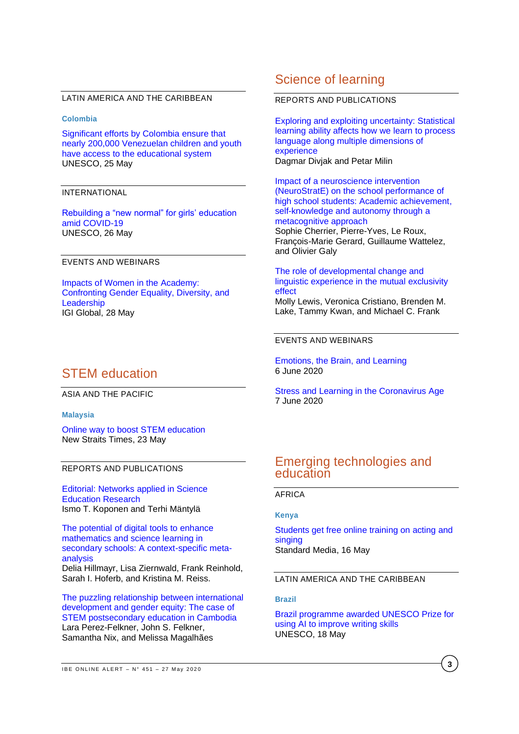#### LATIN AMERICA AND THE CARIBBEAN

#### **Colombia**

[Significant efforts by Colombia ensure that](https://en.unesco.org/news/significant-efforts-colombia-ensure-nearly-200000-venezuelan-children-and-youth-have-access)  [nearly 200,000 Venezuelan children and youth](https://en.unesco.org/news/significant-efforts-colombia-ensure-nearly-200000-venezuelan-children-and-youth-have-access)  [have access to the educational system](https://en.unesco.org/news/significant-efforts-colombia-ensure-nearly-200000-venezuelan-children-and-youth-have-access) UNESCO, 25 May

#### INTERNATIONAL

[Rebuilding a "new normal" for girls' education](https://en.unesco.org/news/rebuilding-new-normal-girls-education-amid-covid-19)  [amid COVID-19](https://en.unesco.org/news/rebuilding-new-normal-girls-education-amid-covid-19) UNESCO, 26 May

### EVENTS AND WEBINARS

[Impacts of Women in the Academy:](https://register.gotowebinar.com/register/5241606532468208398)  [Confronting Gender Equality, Diversity, and](https://register.gotowebinar.com/register/5241606532468208398)  **[Leadership](https://register.gotowebinar.com/register/5241606532468208398)** IGI Global, 28 May

# STEM education

#### ASIA AND THE PACIFIC

#### **Malaysia**

[Online way to boost STEM](https://www.nst.com.my/opinion/columnists/2020/05/594942/online-way-boost-stem-education) education New Straits Times, 23 May

#### REPORTS AND PUBLICATIONS

[Editorial: Networks applied in Science](https://www.mdpi.com/2227-7102/10/5/142/htm)  [Education Research](https://www.mdpi.com/2227-7102/10/5/142/htm) Ismo T. Koponen and Terhi Mäntylä

[The potential of digital tools to enhance](https://www.sciencedirect.com/science/article/pii/S0360131520300968)  [mathematics and science learning in](https://www.sciencedirect.com/science/article/pii/S0360131520300968)  [secondary schools: A context-specific meta](https://www.sciencedirect.com/science/article/pii/S0360131520300968)[analysis](https://www.sciencedirect.com/science/article/pii/S0360131520300968) Delia Hillmayr, Lisa Ziernwald, Frank Reinhold,

Sarah I. Hoferb, and Kristina M. Reiss.

[The puzzling relationship between international](https://www.sciencedirect.com/science/article/pii/S0738059319300756)  [development and gender equity: The case of](https://www.sciencedirect.com/science/article/pii/S0738059319300756)  [STEM postsecondary education in Cambodia](https://www.sciencedirect.com/science/article/pii/S0738059319300756) Lara Perez-Felkner, John S. Felkner, Samantha Nix, and Melissa Magalhães

# Science of learning

#### REPORTS AND PUBLICATIONS

[Exploring and exploiting uncertainty: Statistical](https://onlinelibrary.wiley.com/doi/10.1111/cogs.12835)  [learning ability affects how we learn to process](https://onlinelibrary.wiley.com/doi/10.1111/cogs.12835)  [language along multiple dimensions of](https://onlinelibrary.wiley.com/doi/10.1111/cogs.12835)  [experience](https://onlinelibrary.wiley.com/doi/10.1111/cogs.12835) Dagmar Divjak and Petar Milin

[Impact of a neuroscience intervention](https://www.sciencedirect.com/science/article/pii/S2211949320300016)  [\(NeuroStratE\) on the school performance of](https://www.sciencedirect.com/science/article/pii/S2211949320300016)  [high school students: Academic achievement,](https://www.sciencedirect.com/science/article/pii/S2211949320300016)  self-knowledge and autonomy through a [metacognitive approach](https://www.sciencedirect.com/science/article/pii/S2211949320300016) Sophie Cherrier, Pierre-Yves, Le Roux,

François-Marie Gerard, Guillaume Wattelez, and Olivier Galy

#### [The role of developmental change and](https://www.sciencedirect.com/science/article/abs/pii/S001002772030010X)  [linguistic experience in the mutual exclusivity](https://www.sciencedirect.com/science/article/abs/pii/S001002772030010X)  [effect](https://www.sciencedirect.com/science/article/abs/pii/S001002772030010X)

Molly Lewis, Veronica Cristiano, Brenden M. Lake, Tammy Kwan, and Michael C. Frank

#### EVENTS AND WEBINARS

[Emotions, the Brain, and Learning](https://www.learningandthebrain.com/conference-435/emotions%2C-the-brain%2C-and-learning/) 6 June 2020

[Stress and Learning in the Coronavirus Age](https://www.learningandthebrain.com/conference-436/stress-and-learning-in-the-coronavirus-age/) 7 June 2020

# Emerging technologies and education

### AFRICA

#### **Kenya**

[Students get free online training on acting and](https://www.standardmedia.co.ke/article/2001371486/students-get-free-online-training-on-acting-and-singing)  [singing](https://www.standardmedia.co.ke/article/2001371486/students-get-free-online-training-on-acting-and-singing) Standard Media, 16 May

#### LATIN AMERICA AND THE CARIBBEAN

#### **Brazil**

[Brazil programme awarded UNESCO Prize for](https://en.unesco.org/news/brazil-programme-awarded-unesco-prize-using-ai-improve-writing-skills)  [using AI to improve writing skills](https://en.unesco.org/news/brazil-programme-awarded-unesco-prize-using-ai-improve-writing-skills) UNESCO, 18 May